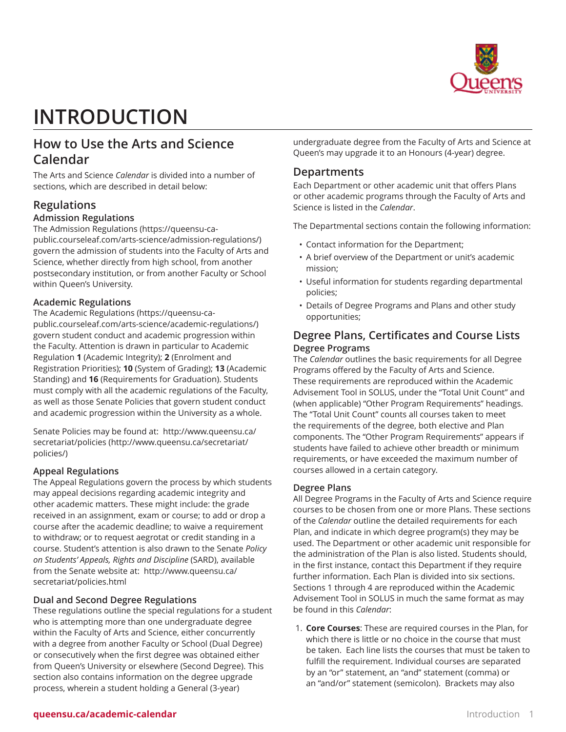

# **INTRODUCTION**

# **How to Use the Arts and Science Calendar**

The Arts and Science *Calendar* is divided into a number of sections, which are described in detail below:

# **Regulations**

# **Admission Regulations**

The [Admission Regulations](https://queensu-ca-public.courseleaf.com/arts-science/admission-regulations/) ([https://queensu-ca](https://queensu-ca-public.courseleaf.com/arts-science/admission-regulations/)[public.courseleaf.com/arts-science/admission-regulations/](https://queensu-ca-public.courseleaf.com/arts-science/admission-regulations/)) govern the admission of students into the Faculty of Arts and Science, whether directly from high school, from another postsecondary institution, or from another Faculty or School within Queen's University.

## **Academic Regulations**

The [Academic Regulations](https://queensu-ca-public.courseleaf.com/arts-science/academic-regulations/) ([https://queensu-ca](https://queensu-ca-public.courseleaf.com/arts-science/academic-regulations/)[public.courseleaf.com/arts-science/academic-regulations/](https://queensu-ca-public.courseleaf.com/arts-science/academic-regulations/)) govern student conduct and academic progression within the Faculty. Attention is drawn in particular to Academic Regulation **1** (Academic Integrity); **2** (Enrolment and Registration Priorities); **10** (System of Grading); **13** (Academic Standing) and **16** (Requirements for Graduation). Students must comply with all the academic regulations of the Faculty, as well as those Senate Policies that govern student conduct and academic progression within the University as a whole.

Senate Policies may be found at:  [http://www.queensu.ca/](http://www.queensu.ca/secretariat/policies/) [secretariat/policies](http://www.queensu.ca/secretariat/policies/) [\(http://www.queensu.ca/secretariat/](http://www.queensu.ca/secretariat/policies/) [policies/\)](http://www.queensu.ca/secretariat/policies/)

## **Appeal Regulations**

The Appeal Regulations govern the process by which students may appeal decisions regarding academic integrity and other academic matters. These might include: the grade received in an assignment, exam or course; to add or drop a course after the academic deadline; to waive a requirement to withdraw; or to request aegrotat or credit standing in a course. Student's attention is also drawn to the Senate *Policy on Students' Appeals, Rights and Discipline* (SARD), available from the Senate website at: [http://www.queensu.ca/](http://www.queensu.ca/secretariat/policies.html) [secretariat/policies.html](http://www.queensu.ca/secretariat/policies.html)

## **Dual and Second Degree Regulations**

These regulations outline the special regulations for a student who is attempting more than one undergraduate degree within the Faculty of Arts and Science, either concurrently with a degree from another Faculty or School (Dual Degree) or consecutively when the first degree was obtained either from Queen's University or elsewhere (Second Degree). This section also contains information on the degree upgrade process, wherein a student holding a General (3-year)

undergraduate degree from the Faculty of Arts and Science at Queen's may upgrade it to an Honours (4-year) degree.

# **Departments**

Each Department or other academic unit that offers Plans or other academic programs through the Faculty of Arts and Science is listed in the *Calendar*.

The Departmental sections contain the following information:

- Contact information for the Department;
- A brief overview of the Department or unit's academic mission;
- Useful information for students regarding departmental policies;
- Details of Degree Programs and Plans and other study opportunities;

# **Degree Plans, Certificates and Course Lists Degree Programs**

The *Calendar* outlines the basic requirements for all Degree Programs offered by the Faculty of Arts and Science. These requirements are reproduced within the Academic Advisement Tool in SOLUS, under the "Total Unit Count" and (when applicable) "Other Program Requirements" headings. The "Total Unit Count" counts all courses taken to meet the requirements of the degree, both elective and Plan components. The "Other Program Requirements" appears if students have failed to achieve other breadth or minimum requirements, or have exceeded the maximum number of courses allowed in a certain category.

## **Degree Plans**

All Degree Programs in the Faculty of Arts and Science require courses to be chosen from one or more Plans. These sections of the *Calendar* outline the detailed requirements for each Plan, and indicate in which degree program(s) they may be used. The Department or other academic unit responsible for the administration of the Plan is also listed. Students should, in the first instance, contact this Department if they require further information. Each Plan is divided into six sections. Sections 1 through 4 are reproduced within the Academic Advisement Tool in SOLUS in much the same format as may be found in this *Calendar*:

1. **Core Courses**: These are required courses in the Plan, for which there is little or no choice in the course that must be taken. Each line lists the courses that must be taken to fulfill the requirement. Individual courses are separated by an "or" statement, an "and" statement (comma) or an "and/or" statement (semicolon). Brackets may also

# **queensu.ca/academic-calendar Introduction 1**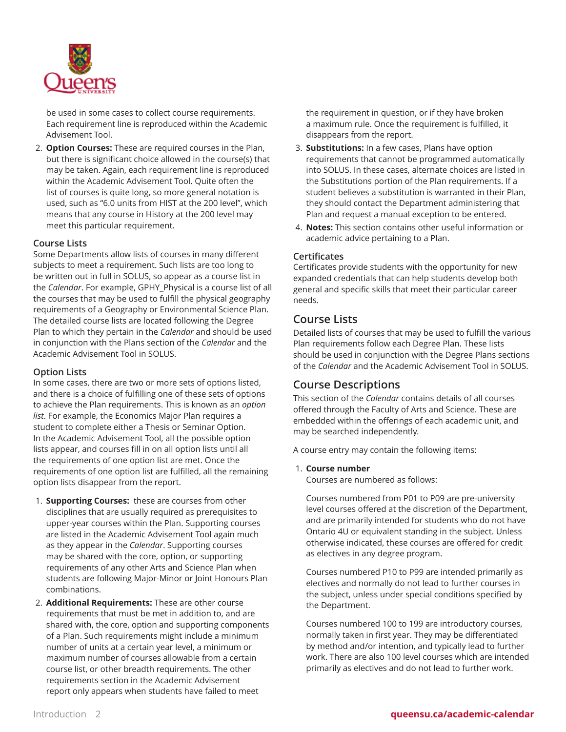

be used in some cases to collect course requirements. Each requirement line is reproduced within the Academic Advisement Tool.

2. **Option Courses:** These are required courses in the Plan, but there is significant choice allowed in the course(s) that may be taken. Again, each requirement line is reproduced within the Academic Advisement Tool. Quite often the list of courses is quite long, so more general notation is used, such as "6.0 units from HIST at the 200 level", which means that any course in History at the 200 level may meet this particular requirement.

#### **Course Lists**

Some Departments allow lists of courses in many different subjects to meet a requirement. Such lists are too long to be written out in full in SOLUS, so appear as a course list in the *Calendar*. For example, GPHY\_Physical is a course list of all the courses that may be used to fulfill the physical geography requirements of a Geography or Environmental Science Plan. The detailed course lists are located following the Degree Plan to which they pertain in the *Calendar* and should be used in conjunction with the Plans section of the *Calendar* and the Academic Advisement Tool in SOLUS.

#### **Option Lists**

In some cases, there are two or more sets of options listed, and there is a choice of fulfilling one of these sets of options to achieve the Plan requirements. This is known as an *option list*. For example, the Economics Major Plan requires a student to complete either a Thesis or Seminar Option. In the Academic Advisement Tool, all the possible option lists appear, and courses fill in on all option lists until all the requirements of one option list are met. Once the requirements of one option list are fulfilled, all the remaining option lists disappear from the report.

- 1. **Supporting Courses:** these are courses from other disciplines that are usually required as prerequisites to upper-year courses within the Plan. Supporting courses are listed in the Academic Advisement Tool again much as they appear in the *Calendar*. Supporting courses may be shared with the core, option, or supporting requirements of any other Arts and Science Plan when students are following Major-Minor or Joint Honours Plan combinations.
- 2. **Additional Requirements:** These are other course requirements that must be met in addition to, and are shared with, the core, option and supporting components of a Plan. Such requirements might include a minimum number of units at a certain year level, a minimum or maximum number of courses allowable from a certain course list, or other breadth requirements. The other requirements section in the Academic Advisement report only appears when students have failed to meet

the requirement in question, or if they have broken a maximum rule. Once the requirement is fulfilled, it disappears from the report.

- 3. **Substitutions:** In a few cases, Plans have option requirements that cannot be programmed automatically into SOLUS. In these cases, alternate choices are listed in the Substitutions portion of the Plan requirements. If a student believes a substitution is warranted in their Plan, they should contact the Department administering that Plan and request a manual exception to be entered.
- 4. **Notes:** This section contains other useful information or academic advice pertaining to a Plan.

#### **Certificates**

Certificates provide students with the opportunity for new expanded credentials that can help students develop both general and specific skills that meet their particular career needs.

## **Course Lists**

Detailed lists of courses that may be used to fulfill the various Plan requirements follow each Degree Plan. These lists should be used in conjunction with the Degree Plans sections of the *Calendar* and the Academic Advisement Tool in SOLUS.

## **Course Descriptions**

This section of the *Calendar* contains details of all courses offered through the Faculty of Arts and Science. These are embedded within the offerings of each academic unit, and may be searched independently.

A course entry may contain the following items:

#### 1. **Course number**

Courses are numbered as follows:

Courses numbered from P01 to P09 are pre-university level courses offered at the discretion of the Department, and are primarily intended for students who do not have Ontario 4U or equivalent standing in the subject. Unless otherwise indicated, these courses are offered for credit as electives in any degree program.

Courses numbered P10 to P99 are intended primarily as electives and normally do not lead to further courses in the subject, unless under special conditions specified by the Department.

Courses numbered 100 to 199 are introductory courses, normally taken in first year. They may be differentiated by method and/or intention, and typically lead to further work. There are also 100 level courses which are intended primarily as electives and do not lead to further work.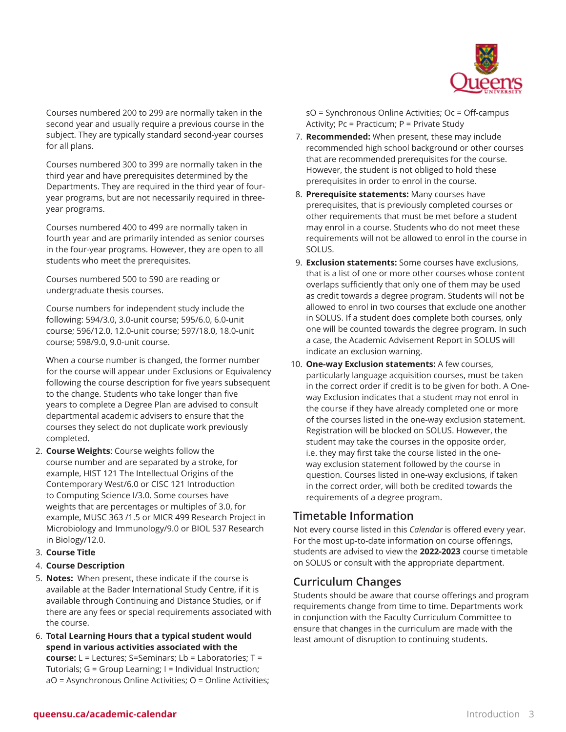

Courses numbered 200 to 299 are normally taken in the second year and usually require a previous course in the subject. They are typically standard second-year courses for all plans.

Courses numbered 300 to 399 are normally taken in the third year and have prerequisites determined by the Departments. They are required in the third year of fouryear programs, but are not necessarily required in threeyear programs.

Courses numbered 400 to 499 are normally taken in fourth year and are primarily intended as senior courses in the four-year programs. However, they are open to all students who meet the prerequisites.

Courses numbered 500 to 590 are reading or undergraduate thesis courses.

Course numbers for independent study include the following: 594/3.0, 3.0-unit course; 595/6.0, 6.0-unit course; 596/12.0, 12.0-unit course; 597/18.0, 18.0-unit course; 598/9.0, 9.0-unit course.

When a course number is changed, the former number for the course will appear under Exclusions or Equivalency following the course description for five years subsequent to the change. Students who take longer than five years to complete a Degree Plan are advised to consult departmental academic advisers to ensure that the courses they select do not duplicate work previously completed.

- 2. **Course Weights**: Course weights follow the course number and are separated by a stroke, for example, HIST 121 The Intellectual Origins of the Contemporary West/6.0 or CISC 121 Introduction to Computing Science I/3.0. Some courses have weights that are percentages or multiples of 3.0, for example, MUSC 363 /1.5 or MICR 499 Research Project in Microbiology and Immunology/9.0 or BIOL 537 Research in Biology/12.0.
- 3. **Course Title**

## 4. **Course Description**

- 5. **Notes:** When present, these indicate if the course is available at the Bader International Study Centre, if it is available through Continuing and Distance Studies, or if there are any fees or special requirements associated with the course.
- 6. **Total Learning Hours that a typical student would spend in various activities associated with the course:** L = Lectures; S=Seminars; Lb = Laboratories; T = Tutorials; G = Group Learning; I = Individual Instruction; aO = Asynchronous Online Activities; O = Online Activities;

sO = Synchronous Online Activities; Oc = Off-campus Activity; Pc = Practicum; P = Private Study

- 7. **Recommended:** When present, these may include recommended high school background or other courses that are recommended prerequisites for the course. However, the student is not obliged to hold these prerequisites in order to enrol in the course.
- 8. **Prerequisite statements:** Many courses have prerequisites, that is previously completed courses or other requirements that must be met before a student may enrol in a course. Students who do not meet these requirements will not be allowed to enrol in the course in SOLUS.
- 9. **Exclusion statements:** Some courses have exclusions, that is a list of one or more other courses whose content overlaps sufficiently that only one of them may be used as credit towards a degree program. Students will not be allowed to enrol in two courses that exclude one another in SOLUS. If a student does complete both courses, only one will be counted towards the degree program. In such a case, the Academic Advisement Report in SOLUS will indicate an exclusion warning.
- 10. **One-way Exclusion statements:** A few courses, particularly language acquisition courses, must be taken in the correct order if credit is to be given for both. A Oneway Exclusion indicates that a student may not enrol in the course if they have already completed one or more of the courses listed in the one-way exclusion statement. Registration will be blocked on SOLUS. However, the student may take the courses in the opposite order, i.e. they may first take the course listed in the oneway exclusion statement followed by the course in question. Courses listed in one-way exclusions, if taken in the correct order, will both be credited towards the requirements of a degree program.

# **Timetable Information**

Not every course listed in this *Calendar* is offered every year. For the most up-to-date information on course offerings, students are advised to view the **2022-2023** course timetable on SOLUS or consult with the appropriate department.

# **Curriculum Changes**

Students should be aware that course offerings and program requirements change from time to time. Departments work in conjunction with the Faculty Curriculum Committee to ensure that changes in the curriculum are made with the least amount of disruption to continuing students.